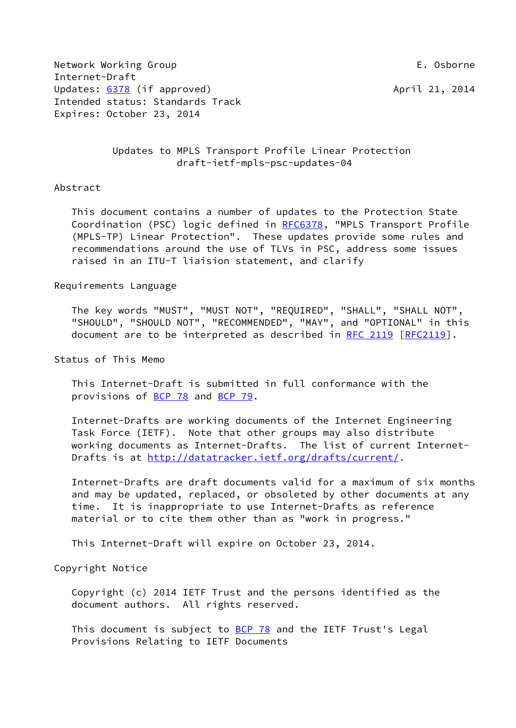Network Working Group **E. Osborne** Internet-Draft Updates: [6378](https://datatracker.ietf.org/doc/pdf/rfc6378) (if approved) April 21, 2014 Intended status: Standards Track Expires: October 23, 2014

 Updates to MPLS Transport Profile Linear Protection draft-ietf-mpls-psc-updates-04

## Abstract

 This document contains a number of updates to the Protection State Coordination (PSC) logic defined in [RFC6378,](https://datatracker.ietf.org/doc/pdf/rfc6378) "MPLS Transport Profile (MPLS-TP) Linear Protection". These updates provide some rules and recommendations around the use of TLVs in PSC, address some issues raised in an ITU-T liaision statement, and clarify

## Requirements Language

 The key words "MUST", "MUST NOT", "REQUIRED", "SHALL", "SHALL NOT", "SHOULD", "SHOULD NOT", "RECOMMENDED", "MAY", and "OPTIONAL" in this document are to be interpreted as described in [RFC 2119 \[RFC2119](https://datatracker.ietf.org/doc/pdf/rfc2119)].

Status of This Memo

 This Internet-Draft is submitted in full conformance with the provisions of [BCP 78](https://datatracker.ietf.org/doc/pdf/bcp78) and [BCP 79](https://datatracker.ietf.org/doc/pdf/bcp79).

 Internet-Drafts are working documents of the Internet Engineering Task Force (IETF). Note that other groups may also distribute working documents as Internet-Drafts. The list of current Internet- Drafts is at<http://datatracker.ietf.org/drafts/current/>.

 Internet-Drafts are draft documents valid for a maximum of six months and may be updated, replaced, or obsoleted by other documents at any time. It is inappropriate to use Internet-Drafts as reference material or to cite them other than as "work in progress."

This Internet-Draft will expire on October 23, 2014.

Copyright Notice

 Copyright (c) 2014 IETF Trust and the persons identified as the document authors. All rights reserved.

This document is subject to **[BCP 78](https://datatracker.ietf.org/doc/pdf/bcp78)** and the IETF Trust's Legal Provisions Relating to IETF Documents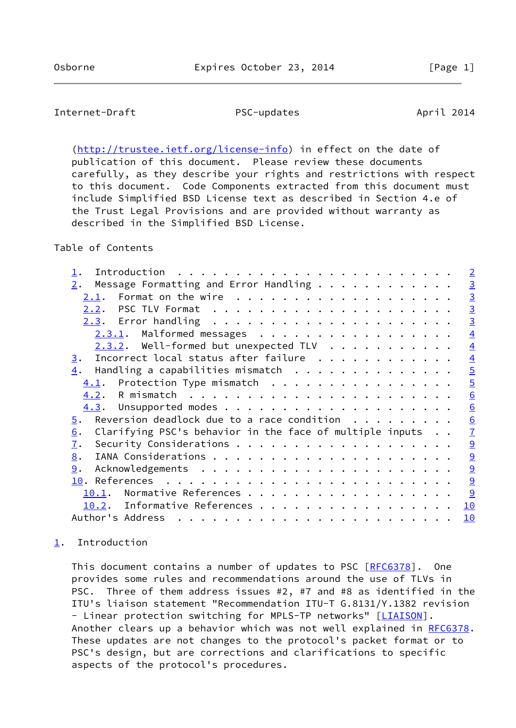# <span id="page-1-1"></span>Internet-Draft PSC-updates April 2014

 [\(http://trustee.ietf.org/license-info](http://trustee.ietf.org/license-info)) in effect on the date of publication of this document. Please review these documents carefully, as they describe your rights and restrictions with respect to this document. Code Components extracted from this document must include Simplified BSD License text as described in Section 4.e of the Trust Legal Provisions and are provided without warranty as described in the Simplified BSD License.

Table of Contents

|                                                                                    | $\overline{2}$ |
|------------------------------------------------------------------------------------|----------------|
| Message Formatting and Error Handling<br>2.                                        | $\overline{3}$ |
| <u>2.1</u> .                                                                       | $\overline{3}$ |
| 2.2.                                                                               | $\overline{3}$ |
|                                                                                    | $\overline{3}$ |
| $2.3.1$ . Malformed messages                                                       | $\overline{4}$ |
| $2.3.2$ . Well-formed but unexpected TLV                                           | $\overline{4}$ |
| Incorrect local status after failure<br>3.                                         | $\overline{4}$ |
| Handling a capabilities mismatch<br>$\overline{4}$ .                               | $\overline{5}$ |
| $4.1$ . Protection Type mismatch                                                   | $\overline{5}$ |
| 4.2.                                                                               | 6              |
| 4.3.                                                                               | 6              |
| Reversion deadlock due to a race condition $\ldots$<br>$\overline{5}$ .            | 6              |
| Clarifying PSC's behavior in the face of multiple inputs<br>6.                     | $\overline{1}$ |
| 7.                                                                                 | $\overline{9}$ |
| 8.                                                                                 | 9              |
| 9.                                                                                 | 9              |
| References $\ldots \ldots \ldots \ldots \ldots \ldots \ldots \ldots \ldots$<br>10. | 9              |
| Normative References<br>10.1.                                                      | 9              |
| Informative References<br>$10.2$ .                                                 | 10             |
| Author's Address                                                                   | 10             |
|                                                                                    |                |

# <span id="page-1-0"></span>[1](#page-1-0). Introduction

This document contains a number of updates to PSC [[RFC6378](https://datatracker.ietf.org/doc/pdf/rfc6378)]. One provides some rules and recommendations around the use of TLVs in PSC. Three of them address issues #2, #7 and #8 as identified in the ITU's liaison statement "Recommendation ITU-T G.8131/Y.1382 revision - Linear protection switching for MPLS-TP networks" [\[LIAISON](#page-10-2)]. Another clears up a behavior which was not well explained in [RFC6378](https://datatracker.ietf.org/doc/pdf/rfc6378). These updates are not changes to the protocol's packet format or to PSC's design, but are corrections and clarifications to specific aspects of the protocol's procedures.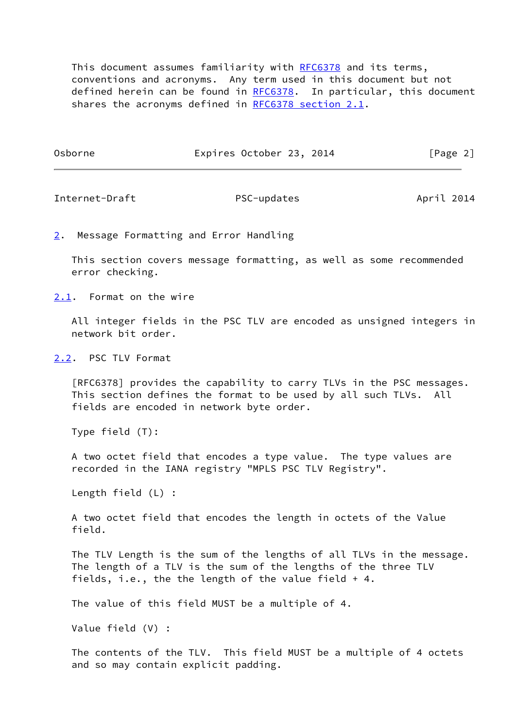This document assumes familiarity with [RFC6378](https://datatracker.ietf.org/doc/pdf/rfc6378) and its terms, conventions and acronyms. Any term used in this document but not defined herein can be found in [RFC6378](https://datatracker.ietf.org/doc/pdf/rfc6378). In particular, this document shares the acronyms defined in [RFC6378 section](https://datatracker.ietf.org/doc/pdf/rfc6378#section-2.1) 2.1.

| Osborne | Expires October 23, 2014 |  | [Page 2] |  |
|---------|--------------------------|--|----------|--|
|---------|--------------------------|--|----------|--|

<span id="page-2-1"></span>Internet-Draft PSC-updates April 2014

<span id="page-2-0"></span>[2](#page-2-0). Message Formatting and Error Handling

 This section covers message formatting, as well as some recommended error checking.

<span id="page-2-2"></span>[2.1](#page-2-2). Format on the wire

 All integer fields in the PSC TLV are encoded as unsigned integers in network bit order.

<span id="page-2-3"></span>[2.2](#page-2-3). PSC TLV Format

 [RFC6378] provides the capability to carry TLVs in the PSC messages. This section defines the format to be used by all such TLVs. All fields are encoded in network byte order.

Type field (T):

 A two octet field that encodes a type value. The type values are recorded in the IANA registry "MPLS PSC TLV Registry".

Length field (L) :

 A two octet field that encodes the length in octets of the Value field.

 The TLV Length is the sum of the lengths of all TLVs in the message. The length of a TLV is the sum of the lengths of the three TLV fields, i.e., the the length of the value field + 4.

The value of this field MUST be a multiple of 4.

Value field (V) :

 The contents of the TLV. This field MUST be a multiple of 4 octets and so may contain explicit padding.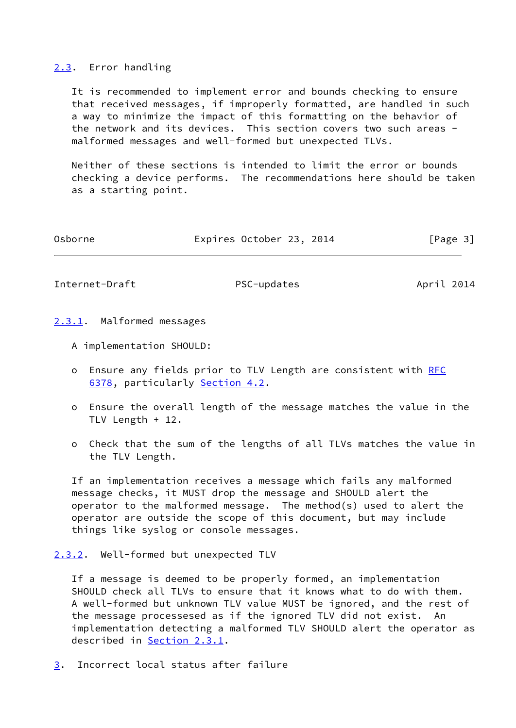## <span id="page-3-0"></span>[2.3](#page-3-0). Error handling

 It is recommended to implement error and bounds checking to ensure that received messages, if improperly formatted, are handled in such a way to minimize the impact of this formatting on the behavior of the network and its devices. This section covers two such areas malformed messages and well-formed but unexpected TLVs.

 Neither of these sections is intended to limit the error or bounds checking a device performs. The recommendations here should be taken as a starting point.

| Osborne | Expires October 23, 2014 |  | [Page 3] |
|---------|--------------------------|--|----------|
|         |                          |  |          |

<span id="page-3-2"></span>Internet-Draft PSC-updates April 2014

- <span id="page-3-1"></span>[2.3.1](#page-3-1). Malformed messages
	- A implementation SHOULD:
	- o Ensure any fields prior to TLV Length are consistent with [RFC](https://datatracker.ietf.org/doc/pdf/rfc6378) [6378,](https://datatracker.ietf.org/doc/pdf/rfc6378) particularly [Section 4.2](#page-5-0).
	- o Ensure the overall length of the message matches the value in the TLV Length + 12.
	- o Check that the sum of the lengths of all TLVs matches the value in the TLV Length.

 If an implementation receives a message which fails any malformed message checks, it MUST drop the message and SHOULD alert the operator to the malformed message. The method(s) used to alert the operator are outside the scope of this document, but may include things like syslog or console messages.

<span id="page-3-3"></span>[2.3.2](#page-3-3). Well-formed but unexpected TLV

 If a message is deemed to be properly formed, an implementation SHOULD check all TLVs to ensure that it knows what to do with them. A well-formed but unknown TLV value MUST be ignored, and the rest of the message processesed as if the ignored TLV did not exist. An implementation detecting a malformed TLV SHOULD alert the operator as described in [Section 2.3.1](#page-3-1).

<span id="page-3-4"></span>[3](#page-3-4). Incorrect local status after failure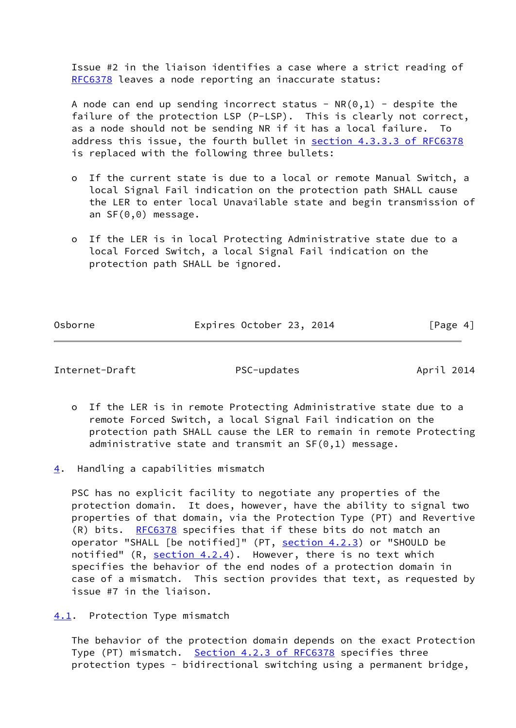Issue #2 in the liaison identifies a case where a strict reading of [RFC6378](https://datatracker.ietf.org/doc/pdf/rfc6378) leaves a node reporting an inaccurate status:

A node can end up sending incorrect status -  $NR(0,1)$  - despite the failure of the protection LSP (P-LSP). This is clearly not correct, as a node should not be sending NR if it has a local failure. To address this issue, the fourth bullet in section [4.3.3.3 of RFC6378](https://datatracker.ietf.org/doc/pdf/rfc6378#section-4.3.3.3) is replaced with the following three bullets:

- o If the current state is due to a local or remote Manual Switch, a local Signal Fail indication on the protection path SHALL cause the LER to enter local Unavailable state and begin transmission of an SF(0,0) message.
- o If the LER is in local Protecting Administrative state due to a local Forced Switch, a local Signal Fail indication on the protection path SHALL be ignored.

Osborne **Expires October 23, 2014** [Page 4]

<span id="page-4-1"></span>Internet-Draft PSC-updates April 2014

- o If the LER is in remote Protecting Administrative state due to a remote Forced Switch, a local Signal Fail indication on the protection path SHALL cause the LER to remain in remote Protecting administrative state and transmit an SF(0,1) message.
- <span id="page-4-0"></span>[4](#page-4-0). Handling a capabilities mismatch

 PSC has no explicit facility to negotiate any properties of the protection domain. It does, however, have the ability to signal two properties of that domain, via the Protection Type (PT) and Revertive (R) bits. [RFC6378](https://datatracker.ietf.org/doc/pdf/rfc6378) specifies that if these bits do not match an operator "SHALL [be notified]" (PT, section 4.2.3) or "SHOULD be notified"  $(R, section 4.2.4)$ . However, there is no text which specifies the behavior of the end nodes of a protection domain in case of a mismatch. This section provides that text, as requested by issue #7 in the liaison.

<span id="page-4-2"></span>[4.1](#page-4-2). Protection Type mismatch

 The behavior of the protection domain depends on the exact Protection Type (PT) mismatch. Section [4.2.3 of RFC6378](https://datatracker.ietf.org/doc/pdf/rfc6378#section-4.2.3) specifies three protection types - bidirectional switching using a permanent bridge,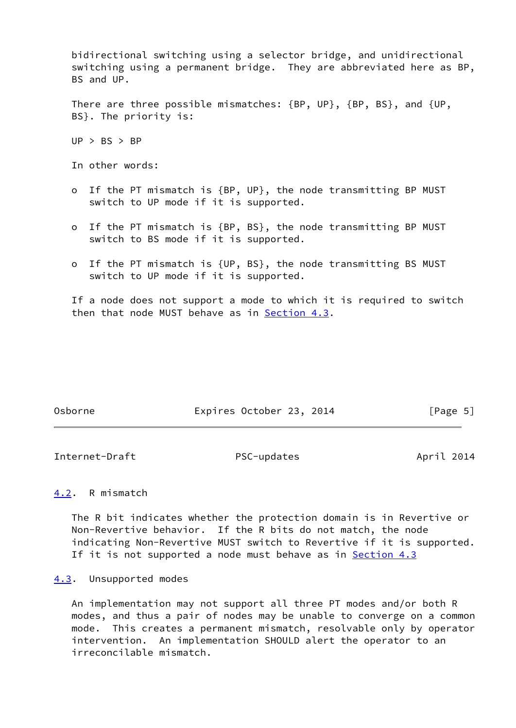bidirectional switching using a selector bridge, and unidirectional switching using a permanent bridge. They are abbreviated here as BP, BS and UP.

 There are three possible mismatches: {BP, UP}, {BP, BS}, and {UP, BS}. The priority is:

 $UP > BS > BP$ 

In other words:

- o If the PT mismatch is {BP, UP}, the node transmitting BP MUST switch to UP mode if it is supported.
- o If the PT mismatch is {BP, BS}, the node transmitting BP MUST switch to BS mode if it is supported.
- o If the PT mismatch is {UP, BS}, the node transmitting BS MUST switch to UP mode if it is supported.

 If a node does not support a mode to which it is required to switch then that node MUST behave as in [Section 4.3](#page-5-2).

| Osborne | Expires October 23, 2014 |  | [Page 5] |
|---------|--------------------------|--|----------|
|         |                          |  |          |

<span id="page-5-1"></span>Internet-Draft PSC-updates April 2014

# <span id="page-5-0"></span>[4.2](#page-5-0). R mismatch

 The R bit indicates whether the protection domain is in Revertive or Non-Revertive behavior. If the R bits do not match, the node indicating Non-Revertive MUST switch to Revertive if it is supported. If it is not supported a node must behave as in [Section 4.3](#page-5-2)

### <span id="page-5-2"></span>[4.3](#page-5-2). Unsupported modes

 An implementation may not support all three PT modes and/or both R modes, and thus a pair of nodes may be unable to converge on a common mode. This creates a permanent mismatch, resolvable only by operator intervention. An implementation SHOULD alert the operator to an irreconcilable mismatch.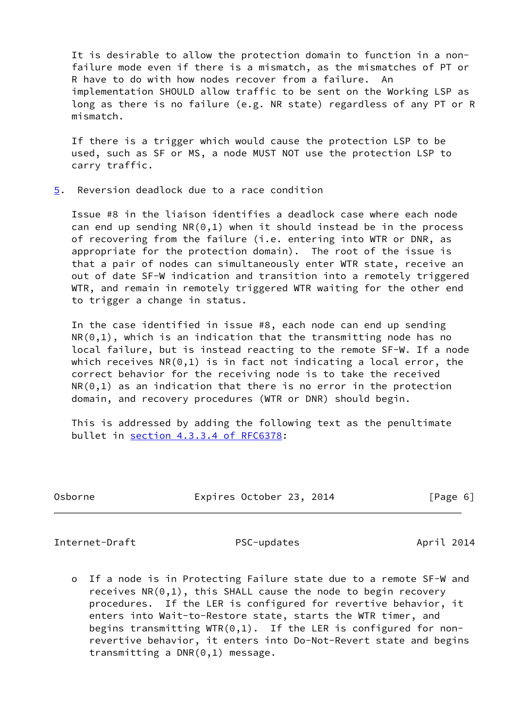It is desirable to allow the protection domain to function in a non failure mode even if there is a mismatch, as the mismatches of PT or R have to do with how nodes recover from a failure. An implementation SHOULD allow traffic to be sent on the Working LSP as long as there is no failure (e.g. NR state) regardless of any PT or R mismatch.

 If there is a trigger which would cause the protection LSP to be used, such as SF or MS, a node MUST NOT use the protection LSP to carry traffic.

<span id="page-6-0"></span>[5](#page-6-0). Reversion deadlock due to a race condition

 Issue #8 in the liaison identifies a deadlock case where each node can end up sending  $NR(0,1)$  when it should instead be in the process of recovering from the failure (i.e. entering into WTR or DNR, as appropriate for the protection domain). The root of the issue is that a pair of nodes can simultaneously enter WTR state, receive an out of date SF-W indication and transition into a remotely triggered WTR, and remain in remotely triggered WTR waiting for the other end to trigger a change in status.

 In the case identified in issue #8, each node can end up sending  $NR(0,1)$ , which is an indication that the transmitting node has no local failure, but is instead reacting to the remote SF-W. If a node which receives  $NR(0,1)$  is in fact not indicating a local error, the correct behavior for the receiving node is to take the received  $NR(0,1)$  as an indication that there is no error in the protection domain, and recovery procedures (WTR or DNR) should begin.

 This is addressed by adding the following text as the penultimate bullet in section [4.3.3.4 of RFC6378:](https://datatracker.ietf.org/doc/pdf/rfc6378#section-4.3.3.4)

<span id="page-6-1"></span>Internet-Draft PSC-updates April 2014

 o If a node is in Protecting Failure state due to a remote SF-W and receives  $NR(0,1)$ , this SHALL cause the node to begin recovery procedures. If the LER is configured for revertive behavior, it enters into Wait-to-Restore state, starts the WTR timer, and begins transmitting WTR $(0,1)$ . If the LER is configured for non revertive behavior, it enters into Do-Not-Revert state and begins transmitting a DNR(0,1) message.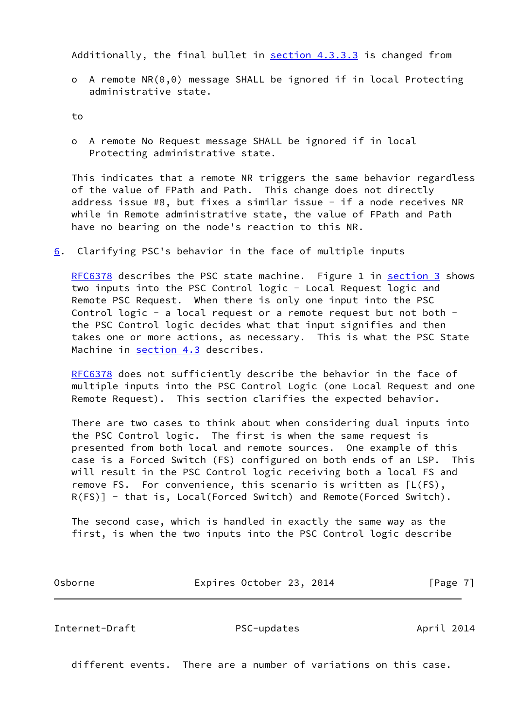Additionally, the final bullet in section 4.3.3.3 is changed from

 o A remote NR(0,0) message SHALL be ignored if in local Protecting administrative state.

to

 o A remote No Request message SHALL be ignored if in local Protecting administrative state.

 This indicates that a remote NR triggers the same behavior regardless of the value of FPath and Path. This change does not directly address issue #8, but fixes a similar issue - if a node receives NR while in Remote administrative state, the value of FPath and Path have no bearing on the node's reaction to this NR.

<span id="page-7-0"></span> $6.$  $6.$  Clarifying PSC's behavior in the face of multiple inputs

 [RFC6378](https://datatracker.ietf.org/doc/pdf/rfc6378) describes the PSC state machine. Figure 1 in [section 3](#page-3-4) shows two inputs into the PSC Control logic - Local Request logic and Remote PSC Request. When there is only one input into the PSC Control logic - a local request or a remote request but not both the PSC Control logic decides what that input signifies and then takes one or more actions, as necessary. This is what the PSC State Machine in [section 4.3](#page-5-2) describes.

[RFC6378](https://datatracker.ietf.org/doc/pdf/rfc6378) does not sufficiently describe the behavior in the face of multiple inputs into the PSC Control Logic (one Local Request and one Remote Request). This section clarifies the expected behavior.

 There are two cases to think about when considering dual inputs into the PSC Control logic. The first is when the same request is presented from both local and remote sources. One example of this case is a Forced Switch (FS) configured on both ends of an LSP. This will result in the PSC Control logic receiving both a local FS and remove FS. For convenience, this scenario is written as [L(FS), R(FS)] - that is, Local(Forced Switch) and Remote(Forced Switch).

 The second case, which is handled in exactly the same way as the first, is when the two inputs into the PSC Control logic describe

Osborne Expires October 23, 2014 [Page 7]

Internet-Draft PSC-updates April 2014

different events. There are a number of variations on this case.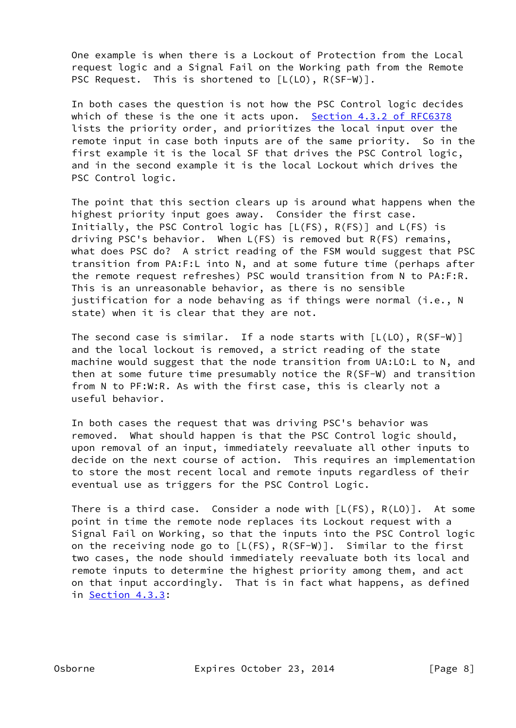One example is when there is a Lockout of Protection from the Local request logic and a Signal Fail on the Working path from the Remote PSC Request. This is shortened to  $[L(L0), R(SF-W)].$ 

 In both cases the question is not how the PSC Control logic decides which of these is the one it acts upon. Section [4.3.2 of RFC6378](https://datatracker.ietf.org/doc/pdf/rfc6378#section-4.3.2) lists the priority order, and prioritizes the local input over the remote input in case both inputs are of the same priority. So in the first example it is the local SF that drives the PSC Control logic, and in the second example it is the local Lockout which drives the PSC Control logic.

 The point that this section clears up is around what happens when the highest priority input goes away. Consider the first case. Initially, the PSC Control logic has [L(FS), R(FS)] and L(FS) is driving PSC's behavior. When L(FS) is removed but R(FS) remains, what does PSC do? A strict reading of the FSM would suggest that PSC transition from PA:F:L into N, and at some future time (perhaps after the remote request refreshes) PSC would transition from N to PA:F:R. This is an unreasonable behavior, as there is no sensible justification for a node behaving as if things were normal (i.e., N state) when it is clear that they are not.

The second case is similar. If a node starts with  $[L(L0), R(SF-W)]$  and the local lockout is removed, a strict reading of the state machine would suggest that the node transition from UA:LO:L to N, and then at some future time presumably notice the R(SF-W) and transition from N to PF:W:R. As with the first case, this is clearly not a useful behavior.

 In both cases the request that was driving PSC's behavior was removed. What should happen is that the PSC Control logic should, upon removal of an input, immediately reevaluate all other inputs to decide on the next course of action. This requires an implementation to store the most recent local and remote inputs regardless of their eventual use as triggers for the PSC Control Logic.

There is a third case. Consider a node with  $[L(FS), R(LO)]$ . At some point in time the remote node replaces its Lockout request with a Signal Fail on Working, so that the inputs into the PSC Control logic on the receiving node go to [L(FS), R(SF-W)]. Similar to the first two cases, the node should immediately reevaluate both its local and remote inputs to determine the highest priority among them, and act on that input accordingly. That is in fact what happens, as defined in Section 4.3.3: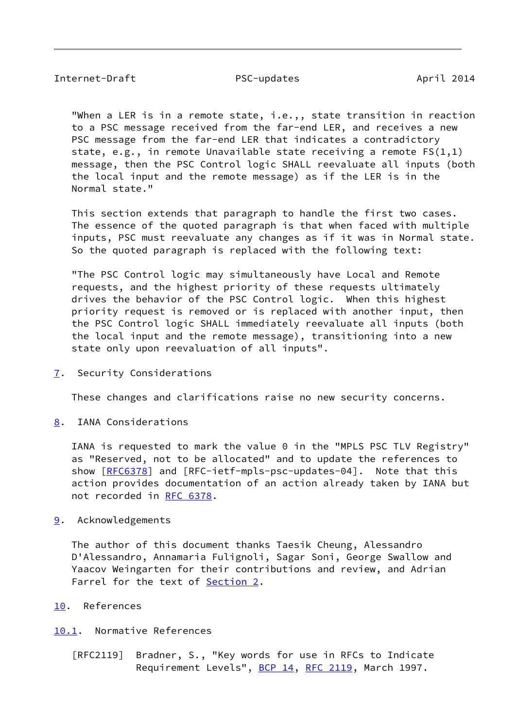<span id="page-9-1"></span> "When a LER is in a remote state, i.e.,, state transition in reaction to a PSC message received from the far-end LER, and receives a new PSC message from the far-end LER that indicates a contradictory state, e.g., in remote Unavailable state receiving a remote FS(1,1) message, then the PSC Control logic SHALL reevaluate all inputs (both the local input and the remote message) as if the LER is in the Normal state."

 This section extends that paragraph to handle the first two cases. The essence of the quoted paragraph is that when faced with multiple inputs, PSC must reevaluate any changes as if it was in Normal state. So the quoted paragraph is replaced with the following text:

 "The PSC Control logic may simultaneously have Local and Remote requests, and the highest priority of these requests ultimately drives the behavior of the PSC Control logic. When this highest priority request is removed or is replaced with another input, then the PSC Control logic SHALL immediately reevaluate all inputs (both the local input and the remote message), transitioning into a new state only upon reevaluation of all inputs".

<span id="page-9-0"></span>[7](#page-9-0). Security Considerations

These changes and clarifications raise no new security concerns.

<span id="page-9-2"></span>[8](#page-9-2). IANA Considerations

 IANA is requested to mark the value 0 in the "MPLS PSC TLV Registry" as "Reserved, not to be allocated" and to update the references to show  $[REC6378]$  and  $[REC-ietf-mpls-psc-updates-04]$ . Note that this action provides documentation of an action already taken by IANA but not recorded in [RFC 6378](https://datatracker.ietf.org/doc/pdf/rfc6378).

<span id="page-9-3"></span>[9](#page-9-3). Acknowledgements

 The author of this document thanks Taesik Cheung, Alessandro D'Alessandro, Annamaria Fulignoli, Sagar Soni, George Swallow and Yaacov Weingarten for their contributions and review, and Adrian Farrel for the text of **[Section 2.](#page-2-0)** 

- <span id="page-9-4"></span>[10.](#page-9-4) References
- <span id="page-9-5"></span>[10.1](#page-9-5). Normative References
	- [RFC2119] Bradner, S., "Key words for use in RFCs to Indicate Requirement Levels", [BCP 14](https://datatracker.ietf.org/doc/pdf/bcp14), [RFC 2119](https://datatracker.ietf.org/doc/pdf/rfc2119), March 1997.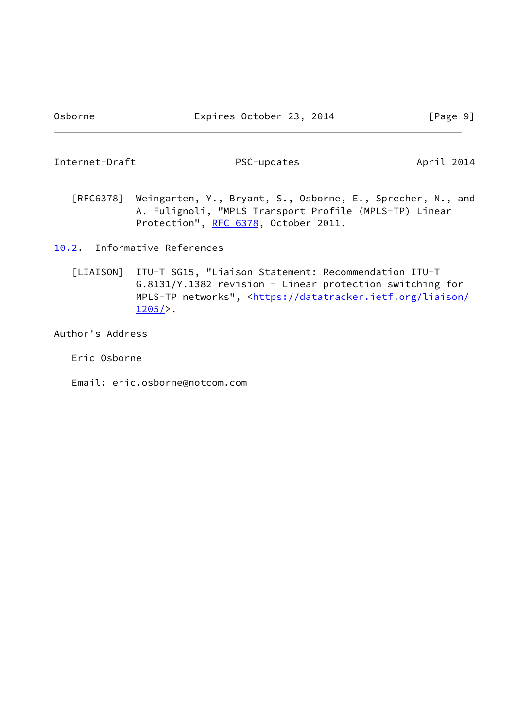<span id="page-10-1"></span>Internet-Draft PSC-updates April 2014

- [RFC6378] Weingarten, Y., Bryant, S., Osborne, E., Sprecher, N., and A. Fulignoli, "MPLS Transport Profile (MPLS-TP) Linear Protection", [RFC 6378](https://datatracker.ietf.org/doc/pdf/rfc6378), October 2011.
- <span id="page-10-2"></span><span id="page-10-0"></span>[10.2](#page-10-0). Informative References
	- [LIAISON] ITU-T SG15, "Liaison Statement: Recommendation ITU-T G.8131/Y.1382 revision - Linear protection switching for MPLS-TP networks", <[https://datatracker.ietf.org/liaison/](https://datatracker.ietf.org/liaison/1205/)  $1205/$ .

Author's Address

Eric Osborne

Email: eric.osborne@notcom.com